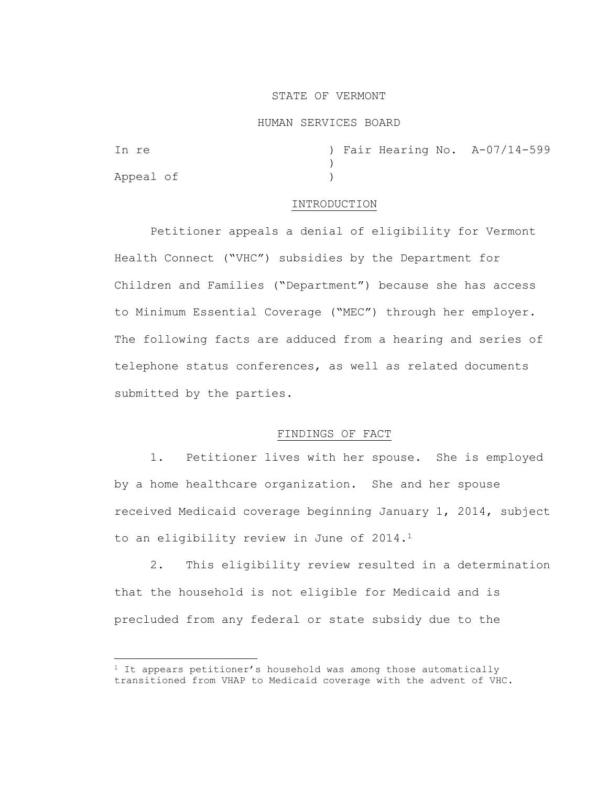## STATE OF VERMONT

#### HUMAN SERVICES BOARD

| In re     |  |  | ) Fair Hearing No. A-07/14-599 |
|-----------|--|--|--------------------------------|
|           |  |  |                                |
| Appeal of |  |  |                                |

#### INTRODUCTION

Petitioner appeals a denial of eligibility for Vermont Health Connect ("VHC") subsidies by the Department for Children and Families ("Department") because she has access to Minimum Essential Coverage ("MEC") through her employer. The following facts are adduced from a hearing and series of telephone status conferences, as well as related documents submitted by the parties.

## FINDINGS OF FACT

1. Petitioner lives with her spouse. She is employed by a home healthcare organization. She and her spouse received Medicaid coverage beginning January 1, 2014, subject to an eligibility review in June of 2014.<sup>1</sup>

2. This eligibility review resulted in a determination that the household is not eligible for Medicaid and is precluded from any federal or state subsidy due to the

 $1$  It appears petitioner's household was among those automatically transitioned from VHAP to Medicaid coverage with the advent of VHC.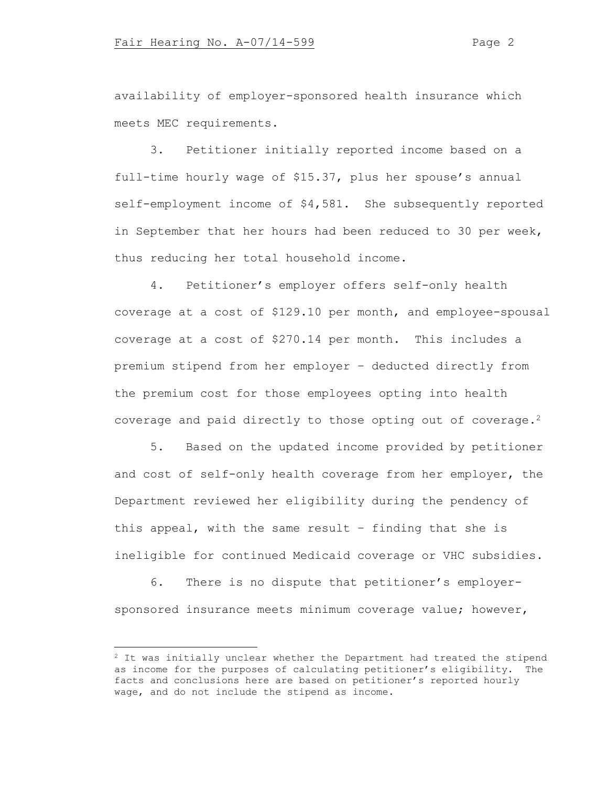availability of employer-sponsored health insurance which meets MEC requirements.

3. Petitioner initially reported income based on a full-time hourly wage of \$15.37, plus her spouse's annual self-employment income of \$4,581. She subsequently reported in September that her hours had been reduced to 30 per week, thus reducing her total household income.

4. Petitioner's employer offers self-only health coverage at a cost of \$129.10 per month, and employee-spousal coverage at a cost of \$270.14 per month. This includes a premium stipend from her employer – deducted directly from the premium cost for those employees opting into health coverage and paid directly to those opting out of coverage.<sup>2</sup>

5. Based on the updated income provided by petitioner and cost of self-only health coverage from her employer, the Department reviewed her eligibility during the pendency of this appeal, with the same result – finding that she is ineligible for continued Medicaid coverage or VHC subsidies.

6. There is no dispute that petitioner's employersponsored insurance meets minimum coverage value; however,

 $2$  It was initially unclear whether the Department had treated the stipend as income for the purposes of calculating petitioner's eligibility. The facts and conclusions here are based on petitioner's reported hourly wage, and do not include the stipend as income.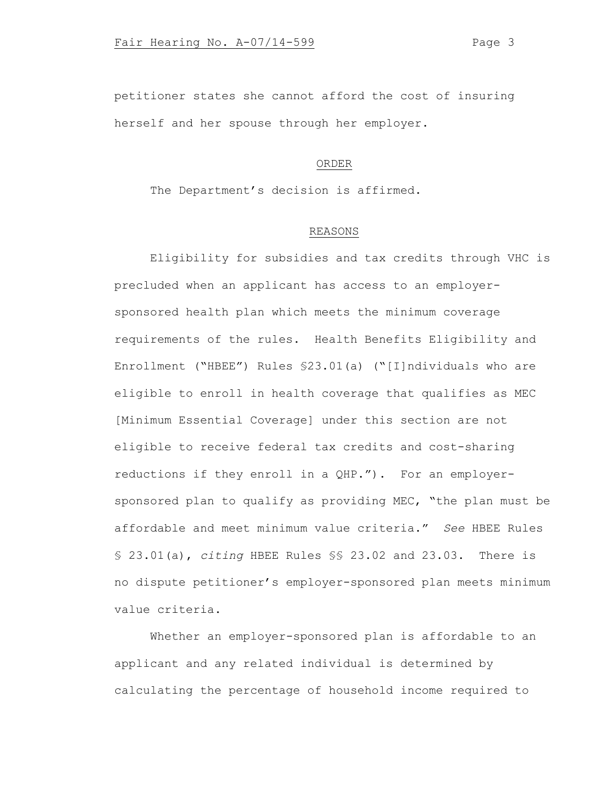petitioner states she cannot afford the cost of insuring herself and her spouse through her employer.

# ORDER

The Department's decision is affirmed.

## REASONS

Eligibility for subsidies and tax credits through VHC is precluded when an applicant has access to an employersponsored health plan which meets the minimum coverage requirements of the rules. Health Benefits Eligibility and Enrollment ("HBEE") Rules §23.01(a) ("[I]ndividuals who are eligible to enroll in health coverage that qualifies as MEC [Minimum Essential Coverage] under this section are not eligible to receive federal tax credits and cost-sharing reductions if they enroll in a QHP."). For an employersponsored plan to qualify as providing MEC, "the plan must be affordable and meet minimum value criteria." *See* HBEE Rules § 23.01(a), *citing* HBEE Rules §§ 23.02 and 23.03. There is no dispute petitioner's employer-sponsored plan meets minimum value criteria.

Whether an employer-sponsored plan is affordable to an applicant and any related individual is determined by calculating the percentage of household income required to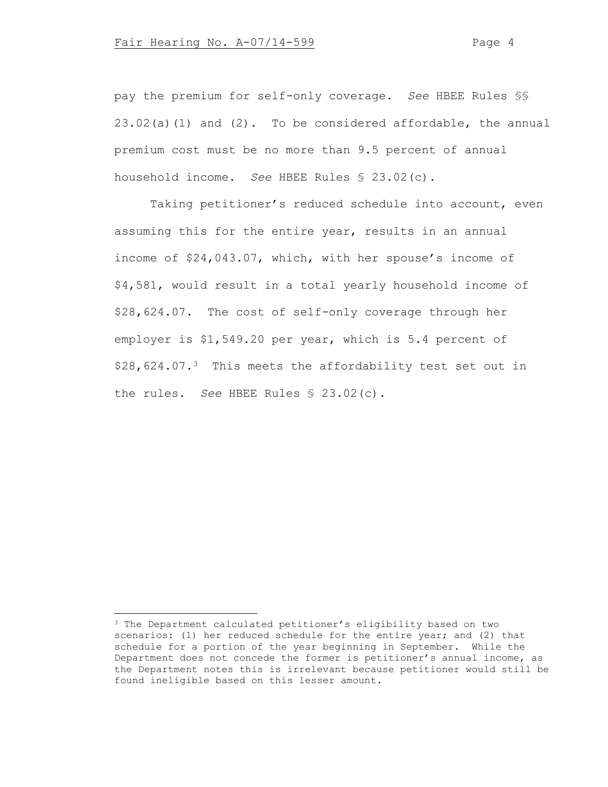pay the premium for self-only coverage. *See* HBEE Rules §§  $23.02(a)(1)$  and  $(2)$ . To be considered affordable, the annual premium cost must be no more than 9.5 percent of annual household income. *See* HBEE Rules § 23.02(c).

Taking petitioner's reduced schedule into account, even assuming this for the entire year, results in an annual income of \$24,043.07, which, with her spouse's income of \$4,581, would result in a total yearly household income of \$28,624.07. The cost of self-only coverage through her employer is \$1,549.20 per year, which is 5.4 percent of \$28,624.07.<sup>3</sup> This meets the affordability test set out in the rules. *See* HBEE Rules § 23.02(c).

<sup>3</sup> The Department calculated petitioner's eligibility based on two scenarios: (1) her reduced schedule for the entire year; and (2) that schedule for a portion of the year beginning in September. While the Department does not concede the former is petitioner's annual income, as the Department notes this is irrelevant because petitioner would still be found ineligible based on this lesser amount.